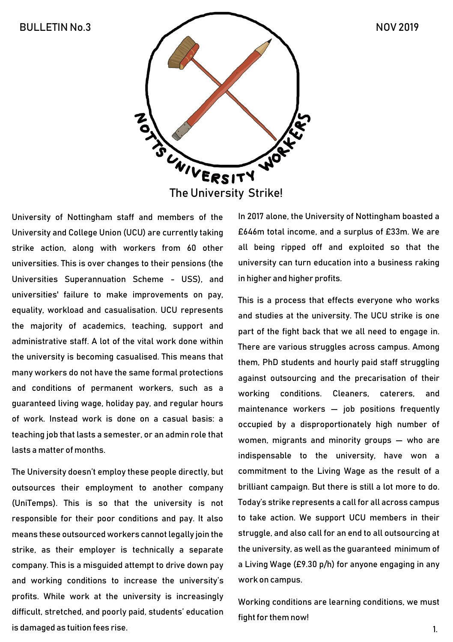

University of Nottingham staff and members of the University and College Union (UCU) are currently taking strike action, along with workers from 60 other universities. This is over changes to their pensions (the Universities Superannuation Scheme - USS), and universities' failure to make improvements on pay, equality, workload and casualisation. UCU represents the majority of academics, teaching, support and administrative staff. A lot of the vital work done within the university is becoming casualised. This means that many workers do not have the same formal protections and conditions of permanent workers, such as a guaranteed living wage, holiday pay, and regular hours of work. Instead work is done on a casual basis: a teaching job that lasts a semester, or an admin role that lasts a matter of months.

The University doesn't employ these people directly, but outsources their employment to another company (UniTemps). This is so that the university is not responsible for their poor conditions and pay. It also means these outsourced workers cannot legally join the strike, as their employer is technically a separate company. This is a misguided attempt to drive down pay and working conditions to increase the university's profits. While work at the university is increasingly difficult, stretched, and poorly paid, students' education is damaged as tuition fees rise.

In 2017 alone, the University of Nottingham boasted a £646m total income, and a surplus of £33m. We are all being ripped off and exploited so that the university can turn education into a business raking in higher and higher profits.

This is a process that effects everyone who works and studies at the university. The UCU strike is one part of the fight back that we all need to engage in. There are various struggles across campus. Among them, PhD students and hourly paid staff struggling against outsourcing and the precarisation of their working conditions. Cleaners, caterers, and maintenance workers — job positions frequently occupied by a disproportionately high number of women, migrants and minority groups — who are indispensable to the university, have won a commitment to the Living Wage as the result of a brilliant campaign. But there is still a lot more to do. Today's strike represents a call for all across campus to take action. We support UCU members in their struggle, and also call for an end to all outsourcing at the university, as well as the guaranteed minimum of a Living Wage (£9.30 p/h) for anyone engaging in any work on campus.

Working conditions are learning conditions, we must fight for them now!